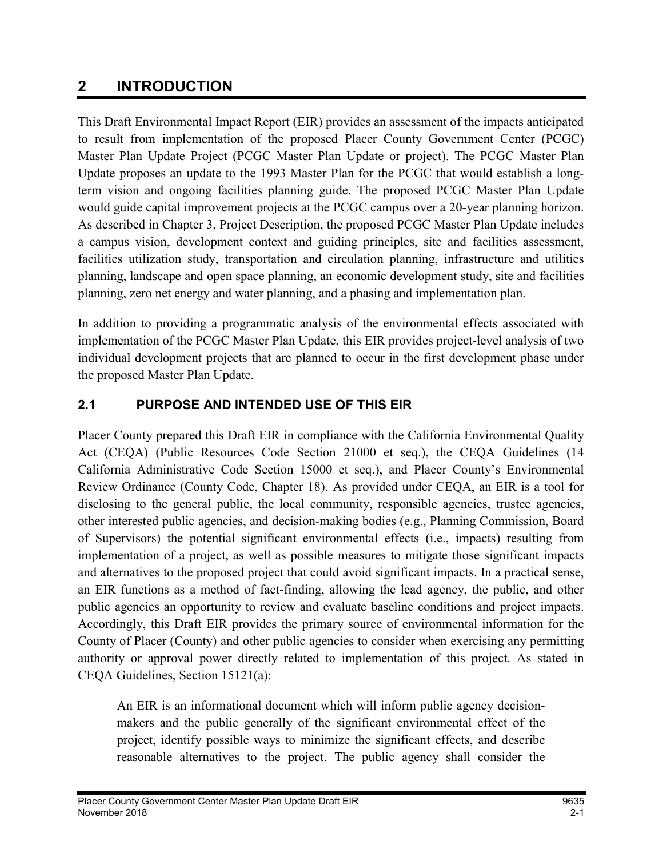# 2 INTRODUCTION

This Draft Environmental Impact Report (EIR) provides an assessment of the impacts anticipated to result from implementation of the proposed Placer County Government Center (PCGC) Master Plan Update Project (PCGC Master Plan Update or project). The PCGC Master Plan Update proposes an update to the 1993 Master Plan for the PCGC that would establish a longterm vision and ongoing facilities planning guide. The proposed PCGC Master Plan Update would guide capital improvement projects at the PCGC campus over a 20-year planning horizon. As described in Chapter 3, Project Description, the proposed PCGC Master Plan Update includes a campus vision, development context and guiding principles, site and facilities assessment, facilities utilization study, transportation and circulation planning, infrastructure and utilities planning, landscape and open space planning, an economic development study, site and facilities planning, zero net energy and water planning, and a phasing and implementation plan.

In addition to providing a programmatic analysis of the environmental effects associated with implementation of the PCGC Master Plan Update, this EIR provides project-level analysis of two individual development projects that are planned to occur in the first development phase under the proposed Master Plan Update.

### 2.1 PURPOSE AND INTENDED USE OF THIS EIR

Placer County prepared this Draft EIR in compliance with the California Environmental Quality Act (CEQA) (Public Resources Code Section 21000 et seq.), the CEQA Guidelines (14 California Administrative Code Section 15000 et seq.), and Placer County's Environmental Review Ordinance (County Code, Chapter 18). As provided under CEQA, an EIR is a tool for disclosing to the general public, the local community, responsible agencies, trustee agencies, other interested public agencies, and decision-making bodies (e.g., Planning Commission, Board of Supervisors) the potential significant environmental effects (i.e., impacts) resulting from implementation of a project, as well as possible measures to mitigate those significant impacts and alternatives to the proposed project that could avoid significant impacts. In a practical sense, an EIR functions as a method of fact-finding, allowing the lead agency, the public, and other public agencies an opportunity to review and evaluate baseline conditions and project impacts. Accordingly, this Draft EIR provides the primary source of environmental information for the County of Placer (County) and other public agencies to consider when exercising any permitting authority or approval power directly related to implementation of this project. As stated in CEQA Guidelines, Section 15121(a):

An EIR is an informational document which will inform public agency decisionmakers and the public generally of the significant environmental effect of the project, identify possible ways to minimize the significant effects, and describe reasonable alternatives to the project. The public agency shall consider the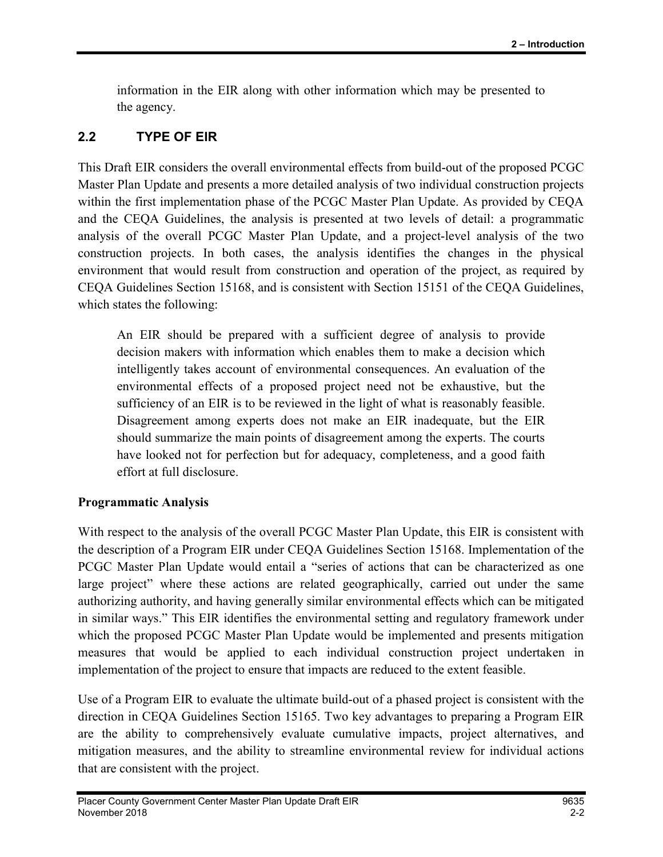information in the EIR along with other information which may be presented to the agency.

## 2.2 TYPE OF EIR

This Draft EIR considers the overall environmental effects from build-out of the proposed PCGC Master Plan Update and presents a more detailed analysis of two individual construction projects within the first implementation phase of the PCGC Master Plan Update. As provided by CEQA and the CEQA Guidelines, the analysis is presented at two levels of detail: a programmatic analysis of the overall PCGC Master Plan Update, and a project-level analysis of the two construction projects. In both cases, the analysis identifies the changes in the physical environment that would result from construction and operation of the project, as required by CEQA Guidelines Section 15168, and is consistent with Section 15151 of the CEQA Guidelines, which states the following:

An EIR should be prepared with a sufficient degree of analysis to provide decision makers with information which enables them to make a decision which intelligently takes account of environmental consequences. An evaluation of the environmental effects of a proposed project need not be exhaustive, but the sufficiency of an EIR is to be reviewed in the light of what is reasonably feasible. Disagreement among experts does not make an EIR inadequate, but the EIR should summarize the main points of disagreement among the experts. The courts have looked not for perfection but for adequacy, completeness, and a good faith effort at full disclosure.

### Programmatic Analysis

With respect to the analysis of the overall PCGC Master Plan Update, this EIR is consistent with the description of a Program EIR under CEQA Guidelines Section 15168. Implementation of the PCGC Master Plan Update would entail a "series of actions that can be characterized as one large project" where these actions are related geographically, carried out under the same authorizing authority, and having generally similar environmental effects which can be mitigated in similar ways." This EIR identifies the environmental setting and regulatory framework under which the proposed PCGC Master Plan Update would be implemented and presents mitigation measures that would be applied to each individual construction project undertaken in implementation of the project to ensure that impacts are reduced to the extent feasible.

Use of a Program EIR to evaluate the ultimate build-out of a phased project is consistent with the direction in CEQA Guidelines Section 15165. Two key advantages to preparing a Program EIR are the ability to comprehensively evaluate cumulative impacts, project alternatives, and mitigation measures, and the ability to streamline environmental review for individual actions that are consistent with the project.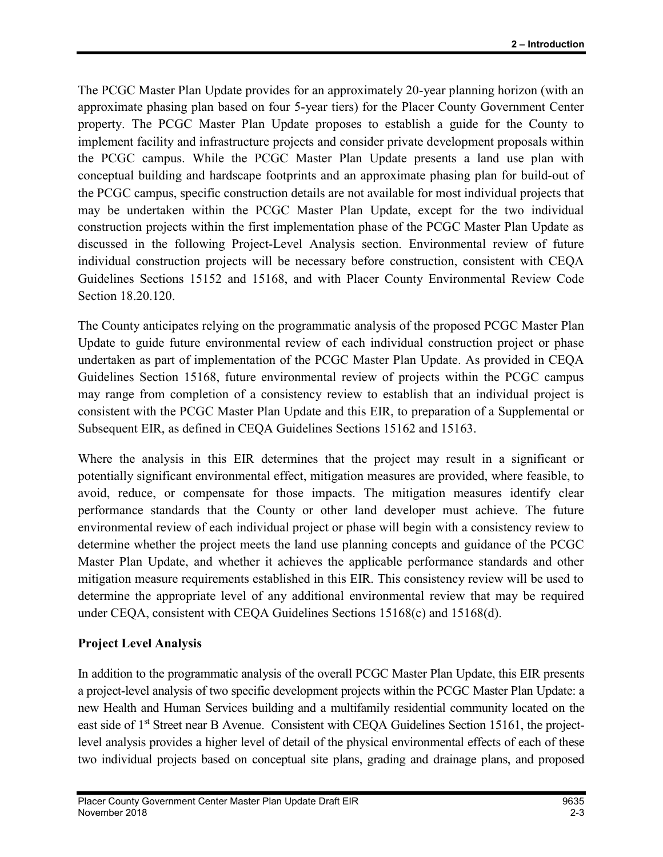The PCGC Master Plan Update provides for an approximately 20-year planning horizon (with an approximate phasing plan based on four 5-year tiers) for the Placer County Government Center property. The PCGC Master Plan Update proposes to establish a guide for the County to implement facility and infrastructure projects and consider private development proposals within the PCGC campus. While the PCGC Master Plan Update presents a land use plan with conceptual building and hardscape footprints and an approximate phasing plan for build-out of the PCGC campus, specific construction details are not available for most individual projects that may be undertaken within the PCGC Master Plan Update, except for the two individual construction projects within the first implementation phase of the PCGC Master Plan Update as discussed in the following Project-Level Analysis section. Environmental review of future individual construction projects will be necessary before construction, consistent with CEQA Guidelines Sections 15152 and 15168, and with Placer County Environmental Review Code Section 18.20.120.

The County anticipates relying on the programmatic analysis of the proposed PCGC Master Plan Update to guide future environmental review of each individual construction project or phase undertaken as part of implementation of the PCGC Master Plan Update. As provided in CEQA Guidelines Section 15168, future environmental review of projects within the PCGC campus may range from completion of a consistency review to establish that an individual project is consistent with the PCGC Master Plan Update and this EIR, to preparation of a Supplemental or Subsequent EIR, as defined in CEQA Guidelines Sections 15162 and 15163.

Where the analysis in this EIR determines that the project may result in a significant or potentially significant environmental effect, mitigation measures are provided, where feasible, to avoid, reduce, or compensate for those impacts. The mitigation measures identify clear performance standards that the County or other land developer must achieve. The future environmental review of each individual project or phase will begin with a consistency review to determine whether the project meets the land use planning concepts and guidance of the PCGC Master Plan Update, and whether it achieves the applicable performance standards and other mitigation measure requirements established in this EIR. This consistency review will be used to determine the appropriate level of any additional environmental review that may be required under CEQA, consistent with CEQA Guidelines Sections 15168(c) and 15168(d).

### Project Level Analysis

In addition to the programmatic analysis of the overall PCGC Master Plan Update, this EIR presents a project-level analysis of two specific development projects within the PCGC Master Plan Update: a new Health and Human Services building and a multifamily residential community located on the east side of 1<sup>st</sup> Street near B Avenue. Consistent with CEQA Guidelines Section 15161, the projectlevel analysis provides a higher level of detail of the physical environmental effects of each of these two individual projects based on conceptual site plans, grading and drainage plans, and proposed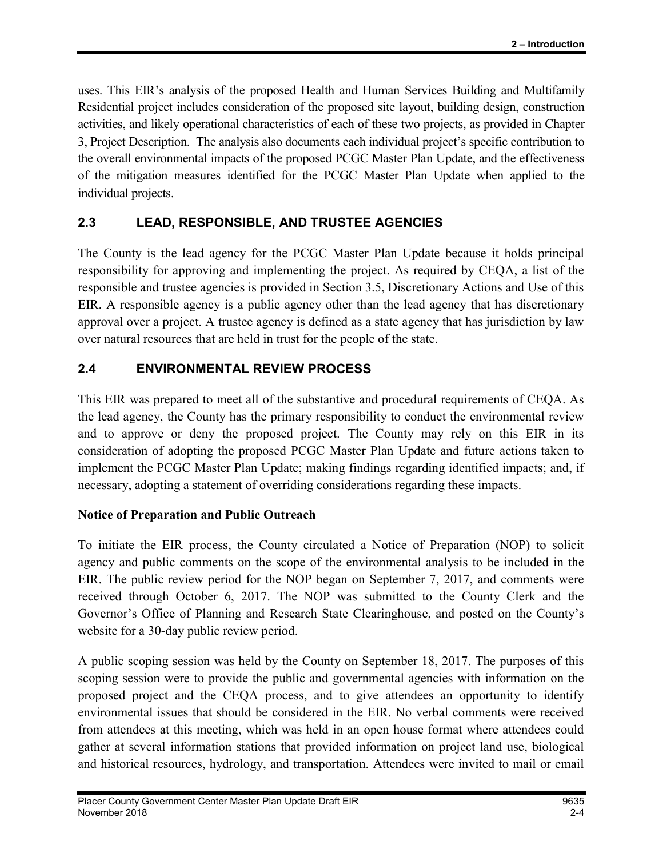uses. This EIR's analysis of the proposed Health and Human Services Building and Multifamily Residential project includes consideration of the proposed site layout, building design, construction activities, and likely operational characteristics of each of these two projects, as provided in Chapter 3, Project Description. The analysis also documents each individual project's specific contribution to the overall environmental impacts of the proposed PCGC Master Plan Update, and the effectiveness of the mitigation measures identified for the PCGC Master Plan Update when applied to the individual projects.

## 2.3 LEAD, RESPONSIBLE, AND TRUSTEE AGENCIES

The County is the lead agency for the PCGC Master Plan Update because it holds principal responsibility for approving and implementing the project. As required by CEQA, a list of the responsible and trustee agencies is provided in Section 3.5, Discretionary Actions and Use of this EIR. A responsible agency is a public agency other than the lead agency that has discretionary approval over a project. A trustee agency is defined as a state agency that has jurisdiction by law over natural resources that are held in trust for the people of the state.

## 2.4 ENVIRONMENTAL REVIEW PROCESS

This EIR was prepared to meet all of the substantive and procedural requirements of CEQA. As the lead agency, the County has the primary responsibility to conduct the environmental review and to approve or deny the proposed project. The County may rely on this EIR in its consideration of adopting the proposed PCGC Master Plan Update and future actions taken to implement the PCGC Master Plan Update; making findings regarding identified impacts; and, if necessary, adopting a statement of overriding considerations regarding these impacts.

### Notice of Preparation and Public Outreach

To initiate the EIR process, the County circulated a Notice of Preparation (NOP) to solicit agency and public comments on the scope of the environmental analysis to be included in the EIR. The public review period for the NOP began on September 7, 2017, and comments were received through October 6, 2017. The NOP was submitted to the County Clerk and the Governor's Office of Planning and Research State Clearinghouse, and posted on the County's website for a 30-day public review period.

A public scoping session was held by the County on September 18, 2017. The purposes of this scoping session were to provide the public and governmental agencies with information on the proposed project and the CEQA process, and to give attendees an opportunity to identify environmental issues that should be considered in the EIR. No verbal comments were received from attendees at this meeting, which was held in an open house format where attendees could gather at several information stations that provided information on project land use, biological and historical resources, hydrology, and transportation. Attendees were invited to mail or email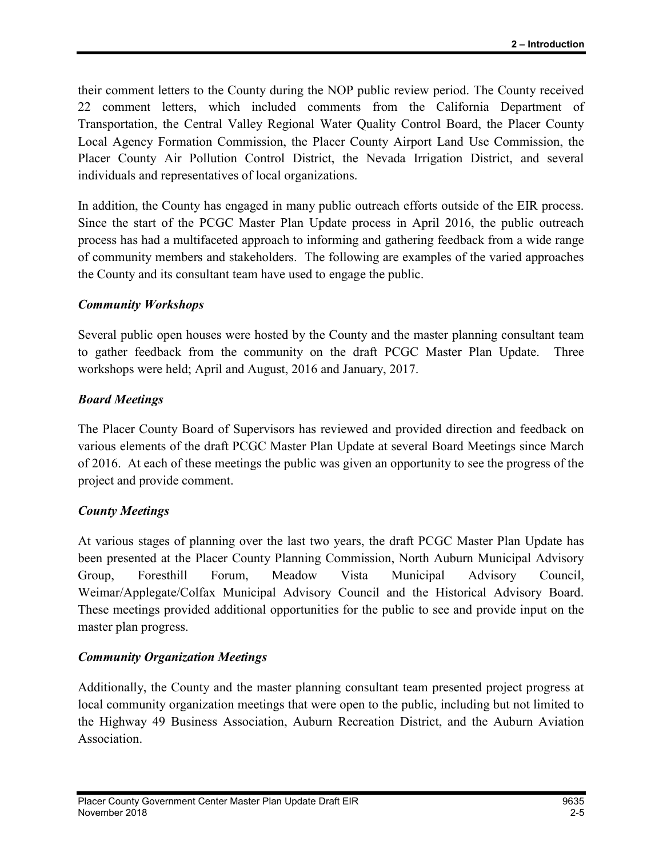their comment letters to the County during the NOP public review period. The County received 22 comment letters, which included comments from the California Department of Transportation, the Central Valley Regional Water Quality Control Board, the Placer County Local Agency Formation Commission, the Placer County Airport Land Use Commission, the Placer County Air Pollution Control District, the Nevada Irrigation District, and several individuals and representatives of local organizations.

In addition, the County has engaged in many public outreach efforts outside of the EIR process. Since the start of the PCGC Master Plan Update process in April 2016, the public outreach process has had a multifaceted approach to informing and gathering feedback from a wide range of community members and stakeholders. The following are examples of the varied approaches the County and its consultant team have used to engage the public.

#### Community Workshops

Several public open houses were hosted by the County and the master planning consultant team to gather feedback from the community on the draft PCGC Master Plan Update. Three workshops were held; April and August, 2016 and January, 2017.

#### Board Meetings

The Placer County Board of Supervisors has reviewed and provided direction and feedback on various elements of the draft PCGC Master Plan Update at several Board Meetings since March of 2016. At each of these meetings the public was given an opportunity to see the progress of the project and provide comment.

#### County Meetings

At various stages of planning over the last two years, the draft PCGC Master Plan Update has been presented at the Placer County Planning Commission, North Auburn Municipal Advisory Group, Foresthill Forum, Meadow Vista Municipal Advisory Council, Weimar/Applegate/Colfax Municipal Advisory Council and the Historical Advisory Board. These meetings provided additional opportunities for the public to see and provide input on the master plan progress.

#### Community Organization Meetings

Additionally, the County and the master planning consultant team presented project progress at local community organization meetings that were open to the public, including but not limited to the Highway 49 Business Association, Auburn Recreation District, and the Auburn Aviation Association.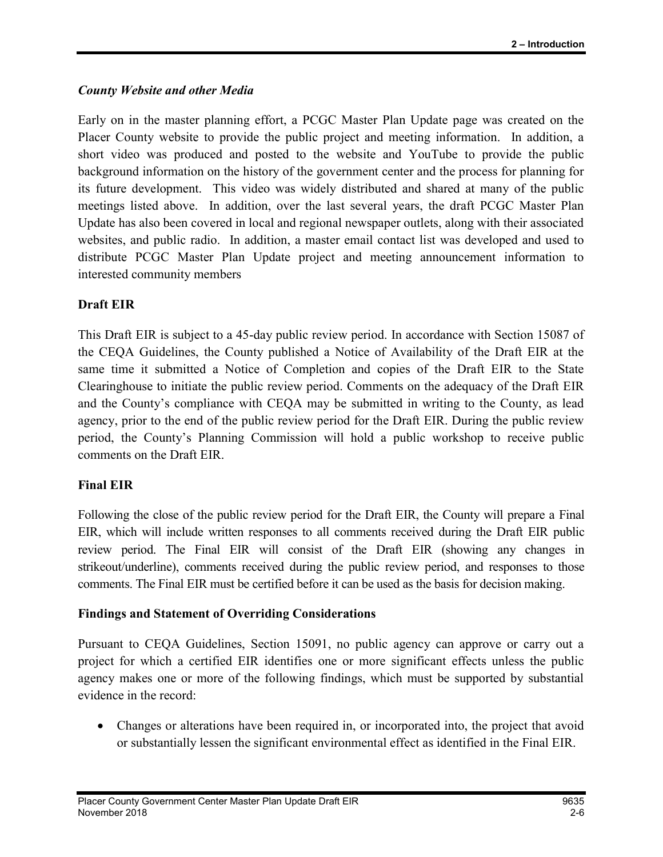#### County Website and other Media

Early on in the master planning effort, a PCGC Master Plan Update page was created on the Placer County website to provide the public project and meeting information. In addition, a short video was produced and posted to the website and YouTube to provide the public background information on the history of the government center and the process for planning for its future development. This video was widely distributed and shared at many of the public meetings listed above. In addition, over the last several years, the draft PCGC Master Plan Update has also been covered in local and regional newspaper outlets, along with their associated websites, and public radio. In addition, a master email contact list was developed and used to distribute PCGC Master Plan Update project and meeting announcement information to interested community members

#### Draft EIR

This Draft EIR is subject to a 45-day public review period. In accordance with Section 15087 of the CEQA Guidelines, the County published a Notice of Availability of the Draft EIR at the same time it submitted a Notice of Completion and copies of the Draft EIR to the State Clearinghouse to initiate the public review period. Comments on the adequacy of the Draft EIR and the County's compliance with CEQA may be submitted in writing to the County, as lead agency, prior to the end of the public review period for the Draft EIR. During the public review period, the County's Planning Commission will hold a public workshop to receive public comments on the Draft EIR.

#### Final EIR

Following the close of the public review period for the Draft EIR, the County will prepare a Final EIR, which will include written responses to all comments received during the Draft EIR public review period. The Final EIR will consist of the Draft EIR (showing any changes in strikeout/underline), comments received during the public review period, and responses to those comments. The Final EIR must be certified before it can be used as the basis for decision making.

#### Findings and Statement of Overriding Considerations

Pursuant to CEQA Guidelines, Section 15091, no public agency can approve or carry out a project for which a certified EIR identifies one or more significant effects unless the public agency makes one or more of the following findings, which must be supported by substantial evidence in the record:

 Changes or alterations have been required in, or incorporated into, the project that avoid or substantially lessen the significant environmental effect as identified in the Final EIR.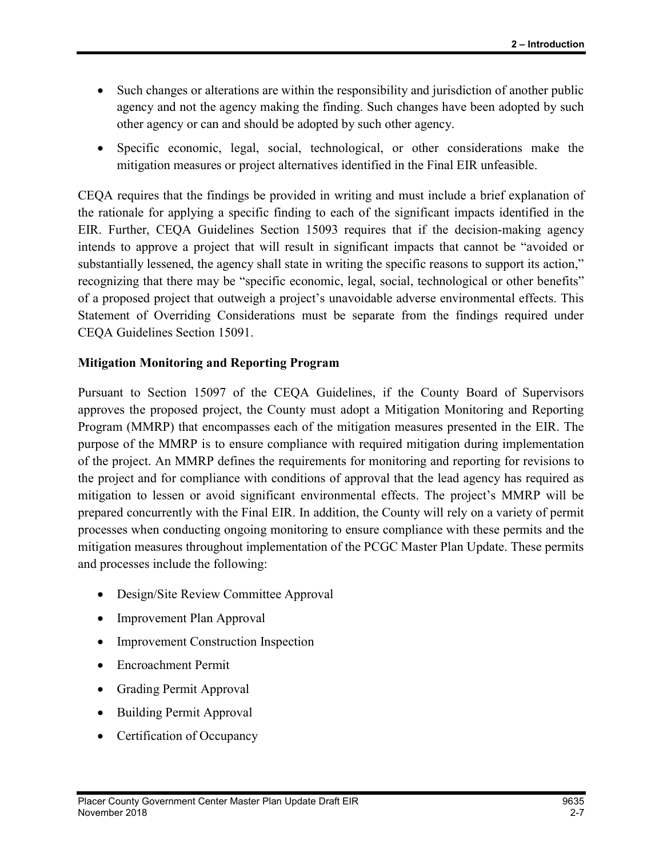- Such changes or alterations are within the responsibility and jurisdiction of another public agency and not the agency making the finding. Such changes have been adopted by such other agency or can and should be adopted by such other agency.
- Specific economic, legal, social, technological, or other considerations make the mitigation measures or project alternatives identified in the Final EIR unfeasible.

CEQA requires that the findings be provided in writing and must include a brief explanation of the rationale for applying a specific finding to each of the significant impacts identified in the EIR. Further, CEQA Guidelines Section 15093 requires that if the decision-making agency intends to approve a project that will result in significant impacts that cannot be "avoided or substantially lessened, the agency shall state in writing the specific reasons to support its action," recognizing that there may be "specific economic, legal, social, technological or other benefits" of a proposed project that outweigh a project's unavoidable adverse environmental effects. This Statement of Overriding Considerations must be separate from the findings required under CEQA Guidelines Section 15091.

#### Mitigation Monitoring and Reporting Program

Pursuant to Section 15097 of the CEQA Guidelines, if the County Board of Supervisors approves the proposed project, the County must adopt a Mitigation Monitoring and Reporting Program (MMRP) that encompasses each of the mitigation measures presented in the EIR. The purpose of the MMRP is to ensure compliance with required mitigation during implementation of the project. An MMRP defines the requirements for monitoring and reporting for revisions to the project and for compliance with conditions of approval that the lead agency has required as mitigation to lessen or avoid significant environmental effects. The project's MMRP will be prepared concurrently with the Final EIR. In addition, the County will rely on a variety of permit processes when conducting ongoing monitoring to ensure compliance with these permits and the mitigation measures throughout implementation of the PCGC Master Plan Update. These permits and processes include the following:

- Design/Site Review Committee Approval
- Improvement Plan Approval
- Improvement Construction Inspection
- Encroachment Permit
- Grading Permit Approval
- Building Permit Approval
- Certification of Occupancy